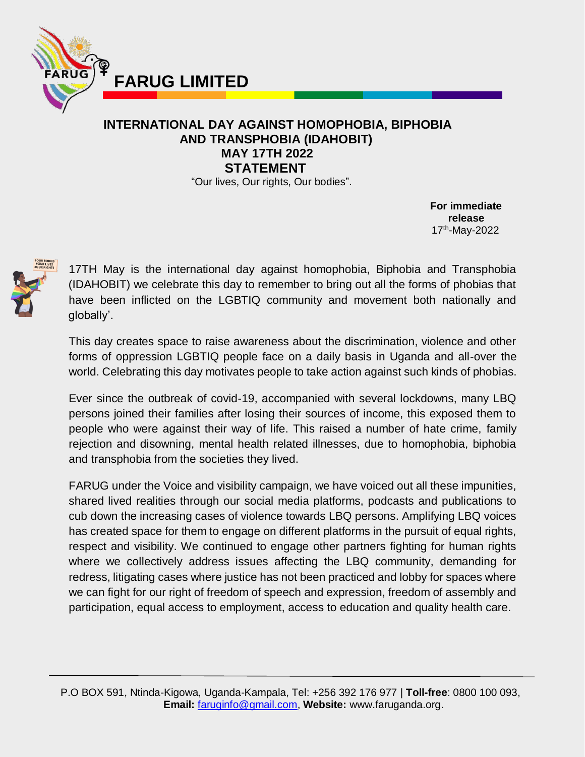

## **INTERNATIONAL DAY AGAINST HOMOPHOBIA, BIPHOBIA AND TRANSPHOBIA (IDAHOBIT) MAY 17TH 2022 STATEMENT**

"Our lives, Our rights, Our bodies".

**For immediate release** 17<sup>th</sup>-May-2022



17TH May is the international day against homophobia, Biphobia and Transphobia (IDAHOBIT) we celebrate this day to remember to bring out all the forms of phobias that have been inflicted on the LGBTIQ community and movement both nationally and globally'.

This day creates space to raise awareness about the discrimination, violence and other forms of oppression LGBTIQ people face on a daily basis in Uganda and all-over the world. Celebrating this day motivates people to take action against such kinds of phobias.

Ever since the outbreak of covid-19, accompanied with several lockdowns, many LBQ persons joined their families after losing their sources of income, this exposed them to people who were against their way of life. This raised a number of hate crime, family rejection and disowning, mental health related illnesses, due to homophobia, biphobia and transphobia from the societies they lived.

FARUG under the Voice and visibility campaign, we have voiced out all these impunities, shared lived realities through our social media platforms, podcasts and publications to cub down the increasing cases of violence towards LBQ persons. Amplifying LBQ voices has created space for them to engage on different platforms in the pursuit of equal rights, respect and visibility. We continued to engage other partners fighting for human rights where we collectively address issues affecting the LBQ community, demanding for redress, litigating cases where justice has not been practiced and lobby for spaces where we can fight for our right of freedom of speech and expression, freedom of assembly and participation, equal access to employment, access to education and quality health care.

 P.O BOX 591, Ntinda-Kigowa, Uganda-Kampala, Tel: +256 392 176 977 | **Toll-free**: 0800 100 093, **Email:** [faruginfo@gmail.com,](mailto:faruginfo@gmail.com) **Website:** www.faruganda.org.